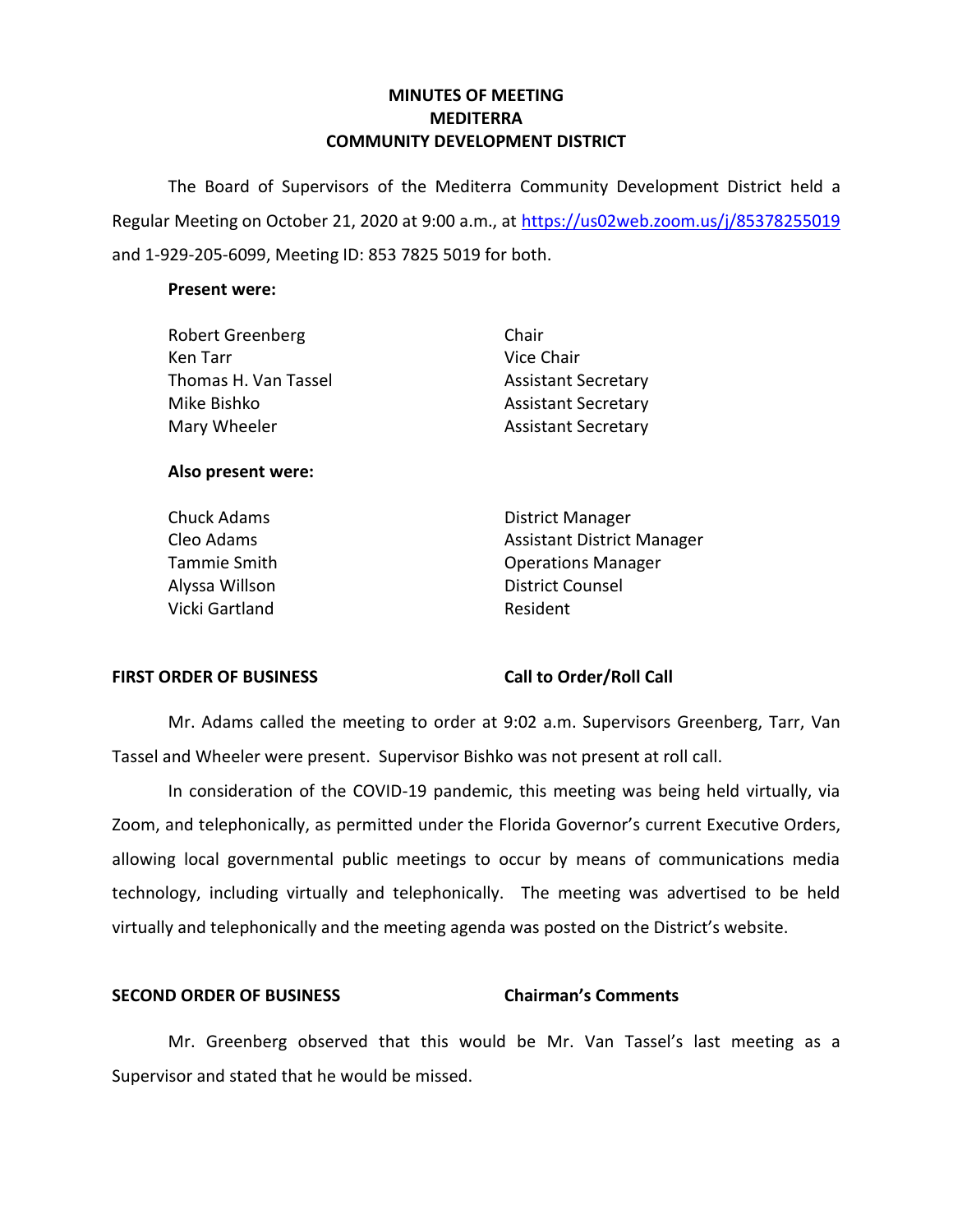# **MINUTES OF MEETING MEDITERRA COMMUNITY DEVELOPMENT DISTRICT**

 The Board of Supervisors of the Mediterra Community Development District held a Regular Meeting on October 21, 2020 at 9:00 a.m., at https://us02web.zoom.us/j/85378255019 and 1-929-205-6099, Meeting ID: 853 7825 5019 for both.

### **Present were:**

| <b>Robert Greenberg</b> | Chair                      |
|-------------------------|----------------------------|
| Ken Tarr                | Vice Chair                 |
| Thomas H. Van Tassel    | <b>Assistant Secretary</b> |
| Mike Bishko             | <b>Assistant Secretary</b> |
| Mary Wheeler            | <b>Assistant Secretary</b> |
|                         |                            |

### **Also present were:**

Vicki Gartland **Resident** 

Chuck Adams **District Manager** Cleo Adams **Assistant District Manager** Assistant District Manager Tammie Smith Operations Manager Alyssa Willson **District Counsel** 

### FIRST ORDER OF BUSINESS Call to Order/Roll Call

 Tassel and Wheeler were present. Supervisor Bishko was not present at roll call. Mr. Adams called the meeting to order at 9:02 a.m. Supervisors Greenberg, Tarr, Van

 In consideration of the COVID-19 pandemic, this meeting was being held virtually, via Zoom, and telephonically, as permitted under the Florida Governor's current Executive Orders, technology, including virtually and telephonically. The meeting was advertised to be held virtually and telephonically and the meeting agenda was posted on the District's website. allowing local governmental public meetings to occur by means of communications media

# **SECOND ORDER OF BUSINESS Chairman's Comments**

 Mr. Greenberg observed that this would be Mr. Van Tassel's last meeting as a Supervisor and stated that he would be missed.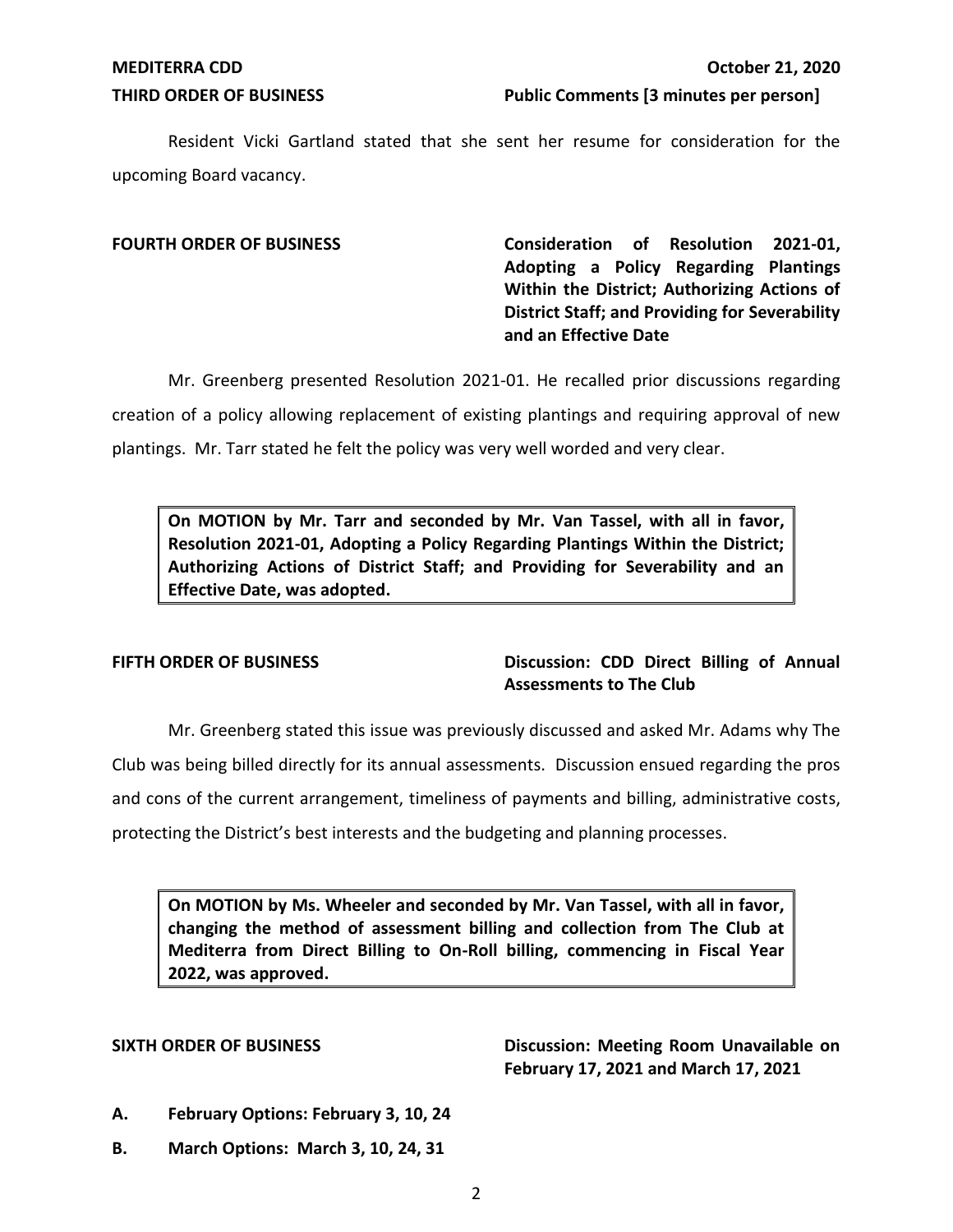Resident Vicki Gartland stated that she sent her resume for consideration for the upcoming Board vacancy.

# FOURTH ORDER OF BUSINESS **Consideration of Resolution 2021-01**,  **Adopting a Policy Regarding Plantings Within the District; Authorizing Actions of District Staff; and Providing for Severability and an Effective Date**

 Mr. Greenberg presented Resolution 2021-01. He recalled prior discussions regarding creation of a policy allowing replacement of existing plantings and requiring approval of new plantings. Mr. Tarr stated he felt the policy was very well worded and very clear.

 **On MOTION by Mr. Tarr and seconded by Mr. Van Tassel, with all in favor, Resolution 2021-01, Adopting a Policy Regarding Plantings Within the District; Authorizing Actions of District Staff; and Providing for Severability and an Effective Date, was adopted.** 

# **FIFTH ORDER OF BUSINESS** Discussion: CDD Direct Billing of Annual  **Assessments to The Club**

 Mr. Greenberg stated this issue was previously discussed and asked Mr. Adams why The Club was being billed directly for its annual assessments. Discussion ensued regarding the pros and cons of the current arrangement, timeliness of payments and billing, administrative costs, protecting the District's best interests and the budgeting and planning processes.

 **On MOTION by Ms. Wheeler and seconded by Mr. Van Tassel, with all in favor, changing the method of assessment billing and collection from The Club at Mediterra from Direct Billing to On-Roll billing, commencing in Fiscal Year 2022, was approved.** 

SIXTH ORDER OF BUSINESS **Discussion: Meeting Room Unavailable on February 17, 2021 and March 17, 2021** 

- **A. February Options: February 3, 10, 24**
- **B. March Options: March 3, 10, 24, 31**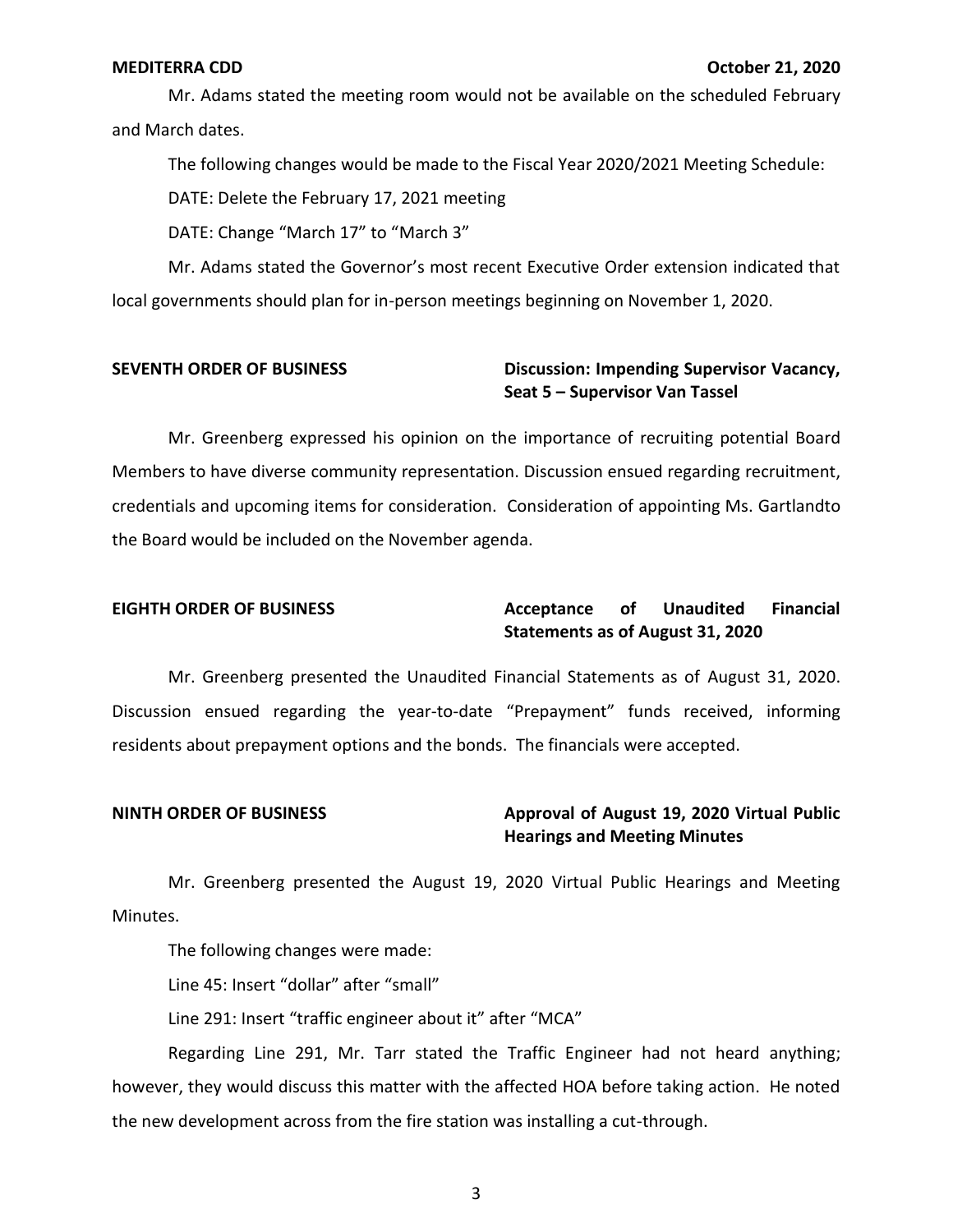### **MEDITERRA CDD October 21, 2020**

 Mr. Adams stated the meeting room would not be available on the scheduled February and March dates.

The following changes would be made to the Fiscal Year 2020/2021 Meeting Schedule:

DATE: Delete the February 17, 2021 meeting

DATE: Change "March 17" to "March 3"

 Mr. Adams stated the Governor's most recent Executive Order extension indicated that local governments should plan for in-person meetings beginning on November 1, 2020.

# SEVENTH ORDER OF BUSINESS **Discussion: Impending Supervisor Vacancy**,  **Seat 5 – Supervisor Van Tassel**

 Mr. Greenberg expressed his opinion on the importance of recruiting potential Board Members to have diverse community representation. Discussion ensued regarding recruitment, credentials and upcoming items for consideration. Consideration of appointing Ms. Gartlandto the Board would be included on the November agenda.

### Acceptance of  **Statements as of August 31, 2020 EIGHTH ORDER OF BUSINESS Acceptance of Unaudited Financial**

 Mr. Greenberg presented the Unaudited Financial Statements as of August 31, 2020. Discussion ensued regarding the year-to-date "Prepayment" funds received, informing residents about prepayment options and the bonds. The financials were accepted.

# **NINTH ORDER OF BUSINESS Approval of August 19, 2020 Virtual Public Hearings and Meeting Minutes**

 Mr. Greenberg presented the August 19, 2020 Virtual Public Hearings and Meeting Minutes.

The following changes were made:

Line 45: Insert "dollar" after "small"

Line 291: Insert "traffic engineer about it" after "MCA"

 Regarding Line 291, Mr. Tarr stated the Traffic Engineer had not heard anything; however, they would discuss this matter with the affected HOA before taking action. He noted the new development across from the fire station was installing a cut-through.

3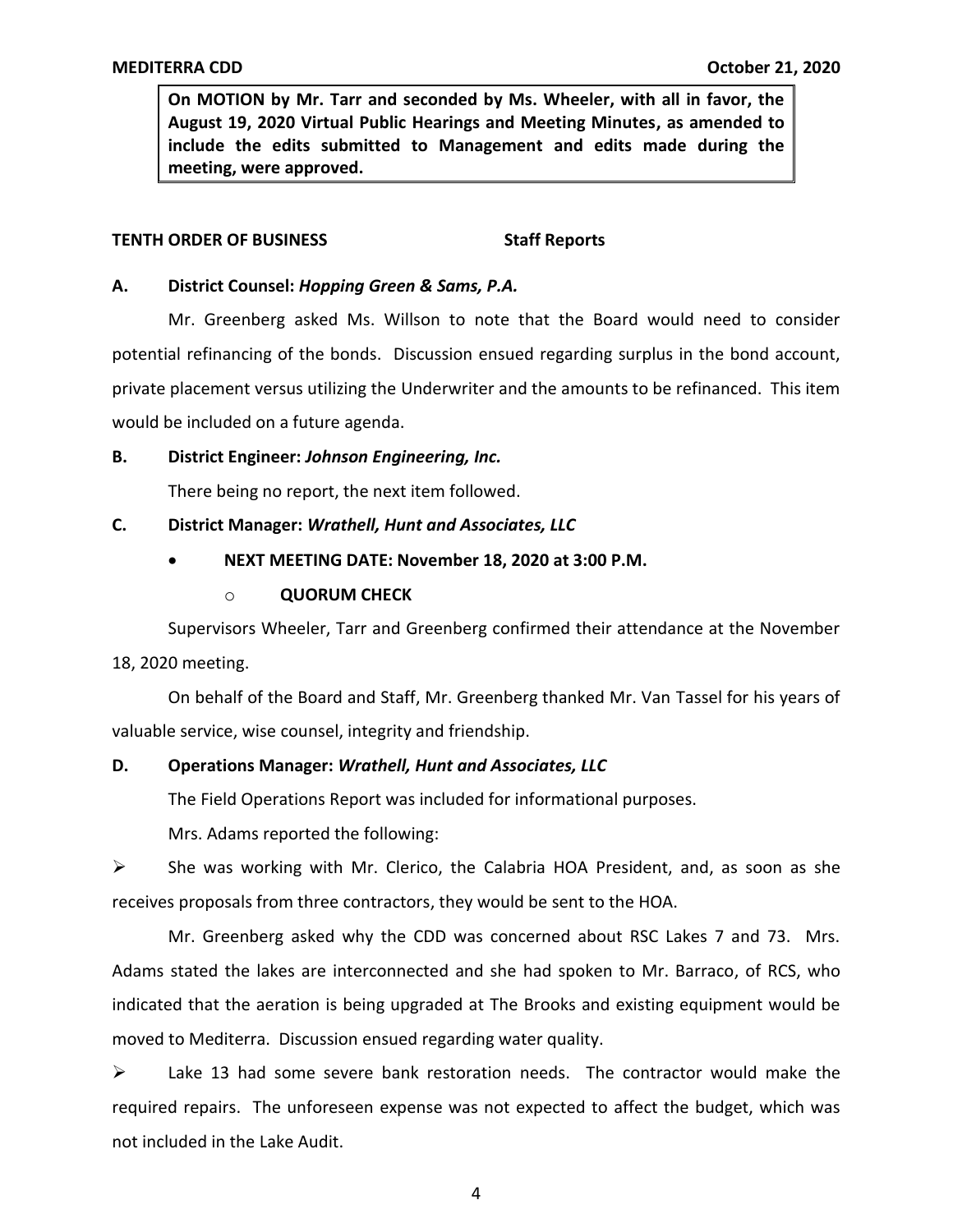**On MOTION by Mr. Tarr and seconded by Ms. Wheeler, with all in favor, the August 19, 2020 Virtual Public Hearings and Meeting Minutes, as amended to include the edits submitted to Management and edits made during the meeting, were approved.** 

# **TENTH ORDER OF BUSINESS** Staff Reports

## **A. District Counsel:** *Hopping Green & Sams, P.A.*

 Mr. Greenberg asked Ms. Willson to note that the Board would need to consider potential refinancing of the bonds. Discussion ensued regarding surplus in the bond account, would be included on a future agenda. private placement versus utilizing the Underwriter and the amounts to be refinanced. This item

# **B. District Engineer:** *Johnson Engineering, Inc.*

There being no report, the next item followed.

# **C. District Manager:** *Wrathell, Hunt and Associates, LLC*

# • **NEXT MEETING DATE: November 18, 2020 at 3:00 P.M.**

## o **QUORUM CHECK**

 Supervisors Wheeler, Tarr and Greenberg confirmed their attendance at the November 18, 2020 meeting.

 On behalf of the Board and Staff, Mr. Greenberg thanked Mr. Van Tassel for his years of valuable service, wise counsel, integrity and friendship.

# **D. Operations Manager:** *Wrathell, Hunt and Associates, LLC*

The Field Operations Report was included for informational purposes.

Mrs. Adams reported the following:

 receives proposals from three contractors, they would be sent to the HOA.  $\triangleright$  She was working with Mr. Clerico, the Calabria HOA President, and, as soon as she

 Mr. Greenberg asked why the CDD was concerned about RSC Lakes 7 and 73. Mrs. Adams stated the lakes are interconnected and she had spoken to Mr. Barraco, of RCS, who indicated that the aeration is being upgraded at The Brooks and existing equipment would be moved to Mediterra. Discussion ensued regarding water quality.

 $\triangleright$  Lake 13 had some severe bank restoration needs. The contractor would make the required repairs. The unforeseen expense was not expected to affect the budget, which was not included in the Lake Audit.

4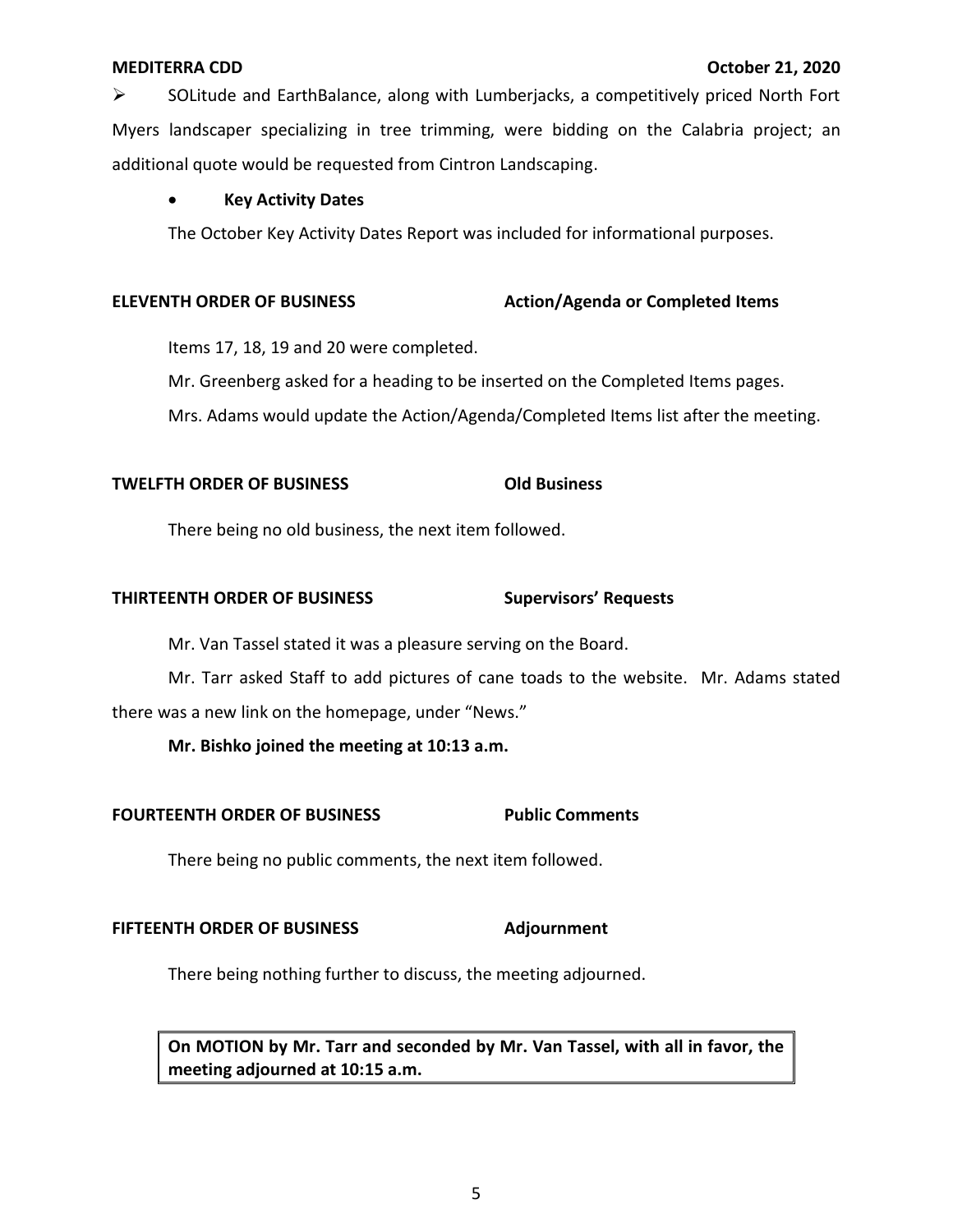➢ SOLitude and EarthBalance, along with Lumberjacks, a competitively priced North Fort Myers landscaper specializing in tree trimming, were bidding on the Calabria project; an additional quote would be requested from Cintron Landscaping.

### • **Key Activity Dates**

The October Key Activity Dates Report was included for informational purposes.

# **ELEVENTH ORDER OF BUSINESS** Action/Agenda or Completed Items

Items 17, 18, 19 and 20 were completed.

Mr. Greenberg asked for a heading to be inserted on the Completed Items pages.

Mrs. Adams would update the Action/Agenda/Completed Items list after the meeting.

# **TWELFTH ORDER OF BUSINESS** Old Business

There being no old business, the next item followed.

## **THIRTEENTH ORDER OF BUSINESS Supervisors' Requests**

Mr. Van Tassel stated it was a pleasure serving on the Board.

 Mr. Tarr asked Staff to add pictures of cane toads to the website. Mr. Adams stated there was a new link on the homepage, under "News."

 **Mr. Bishko joined the meeting at 10:13 a.m.** 

### **FOURTEENTH ORDER OF BUSINESS Public Comments**

There being no public comments, the next item followed.

### **FIFTEENTH ORDER OF BUSINESS Adjournment**

There being nothing further to discuss, the meeting adjourned.

 **On MOTION by Mr. Tarr and seconded by Mr. Van Tassel, with all in favor, the meeting adjourned at 10:15 a.m.**